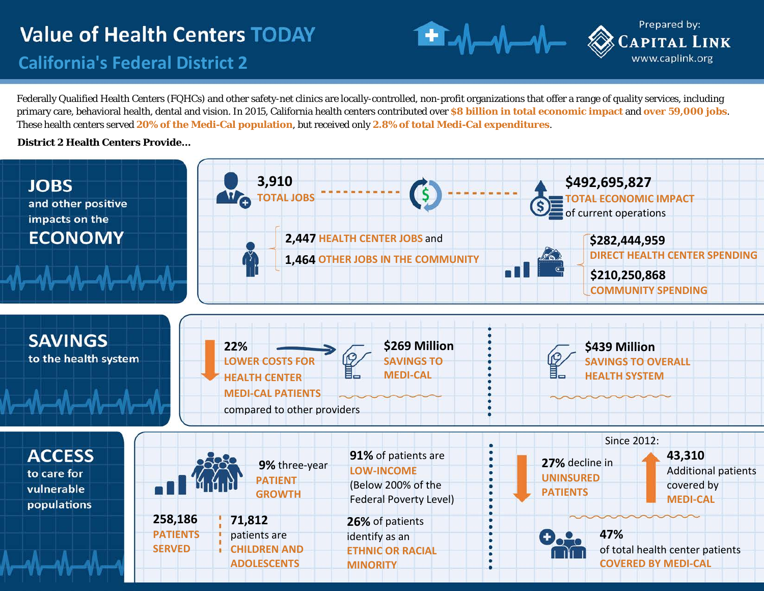## **California's Federal District 2**

Federally Qualified Health Centers (FQHCs) and other safety-net clinics are locally-controlled, non-profit organizations that offer a range of quality services, including primary care, behavioral health, dental and vision. In 2015, California health centers contributed over **\$8 billion in total economic impact** and **over 59,000 jobs**. These health centers served **20% of the Medi-Cal population**, but received only **2.8% of total Medi-Cal expenditures**.

Prepared by:

**CAPITAL LINK** www.caplink.org

#### **District 2 Health Centers Provide...**

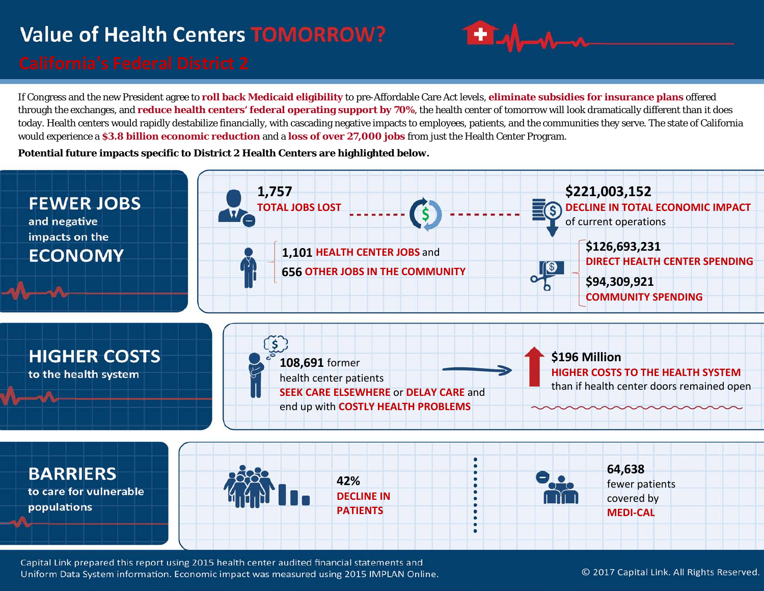# **Value of Health Centers TOMORROW?**



If Congress and the new President agree to **roll back Medicaid eligibility** to pre-Affordable Care Act levels, **eliminate subsidies for insurance plans** offered through the exchanges, and **reduce health centers' federal operating support by 70%**, the health center of tomorrow will look dramatically different than it does today. Health centers would rapidly destabilize financially, with cascading negative impacts to employees, patients, and the communities they serve. The state of California would experience a **\$3.8 billion economic reduction** and a **loss of over 27,000 jobs** from just the Health Center Program.

**Potential future impacts specific to District 2 Health Centers are highlighted below.**



Capital Link prepared this report using 2015 health center audited financial statements and Uniform Data System information. Economic impact was measured using 2015 IMPLAN Online.

© 2017 Capital Link. All Rights Reserved.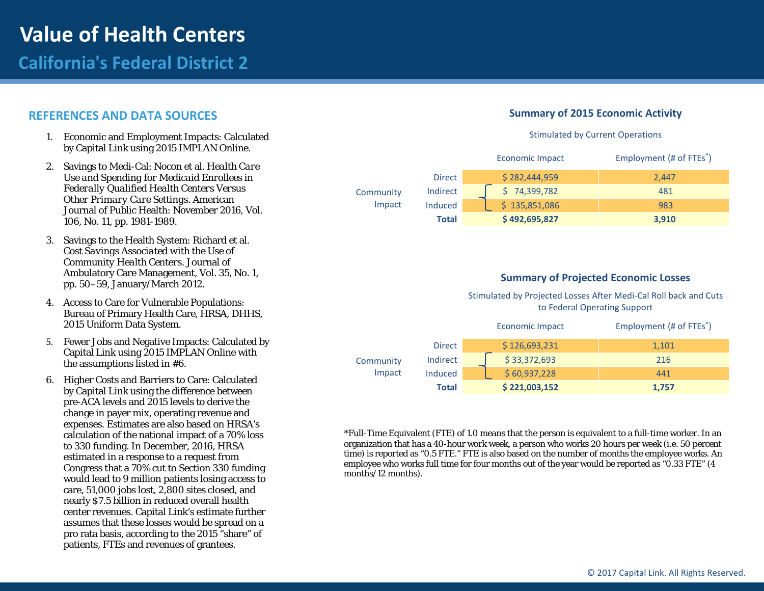## **California's Federal District 2**

#### **REFERENCES AND DATA SOURCES**

- 1. Economic and Employment Impacts: Calculated by Capital Link using 2015 IMPLAN Online.
- 2. Savings to Medi-Cal: Nocon et al. *Health Care Use and Spending for Medicaid Enrollees in Federally Qualified Health Centers Versus Other Primary Care Settings*. American Journal of Public Health: November 2016, Vol. 106, No. 11, pp. 1981-1989.
- 3. Savings to the Health System: Richard et al. *Cost Savings Associated with the Use of Community Health Centers*. Journal of Ambulatory Care Management, Vol. 35, No. 1, pp. 50–59, January/March 2012.
- 4. Access to Care for Vulnerable Populations: Bureau of Primary Health Care, HRSA, DHHS, 2015 Uniform Data System.
- 5. Fewer Jobs and Negative Impacts: Calculated by Capital Link using 2015 IMPLAN Online with the assumptions listed in #6.
- 6. Higher Costs and Barriers to Care: Calculated by Capital Link using the difference between pre-ACA levels and 2015 levels to derive the change in payer mix, operating revenue and expenses. Estimates are also based on HRSA's calculation of the national impact of a 70% loss to 330 funding. In December, 2016, HRSA estimated in a response to a request from Congress that a 70% cut to Section 330 funding would lead to 9 million patients losing access to care, 51,000 jobs lost, 2,800 sites closed, and nearly \$7.5 billion in reduced overall health center revenues. Capital Link's estimate further assumes that these losses would be spread on a pro rata basis, according to the 2015 "share" of patients, FTEs and revenues of grantees.

#### **Summary of 2015 Economic Activity**

#### Stimulated by Current Operations

|                     |               | <b>Economic Impact</b> | Employment (# of FTEs <sup>*</sup> ) |
|---------------------|---------------|------------------------|--------------------------------------|
| Community<br>Impact | <b>Direct</b> | \$282,444,959          | 2.447                                |
|                     | Indirect      | \$74,399,782           | 481                                  |
|                     | Induced       | \$135,851,086          | 983                                  |
|                     | Total         | \$492,695,827          | 3,910                                |

#### **Summary of Projected Economic Losses**

Stimulated by Projected Losses After Medi-Cal Roll back and Cuts to Federal Operating Support

|                     |                | <b>Economic Impact</b> | Employment (# of FTEs <sup>*</sup> ) |
|---------------------|----------------|------------------------|--------------------------------------|
| Community<br>Impact | <b>Direct</b>  | \$126,693,231          | 1,101                                |
|                     | Indirect       | \$33,372,693           | 216                                  |
|                     | <b>Induced</b> | \$60,937,228           | 441                                  |
|                     | Total          | \$221,003,152          | 1,757                                |

\*Full-Time Equivalent (FTE) of 1.0 means that the person is equivalent to a full-time worker. In an organization that has a 40-hour work week, a person who works 20 hours per week (i.e. 50 percent time) is reported as "0.5 FTE." FTE is also based on the number of months the employee works. An employee who works full time for four months out of the year would be reported as "0.33 FTE" (4 months/12 months).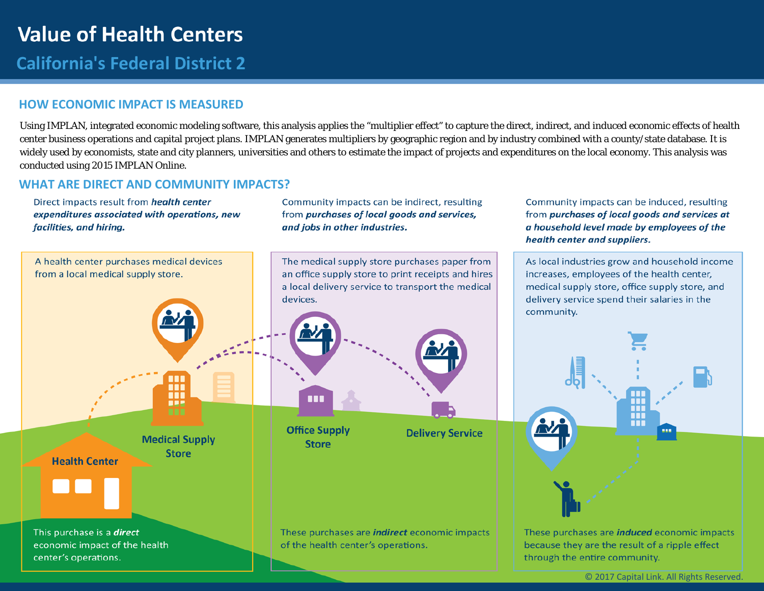## **California's Federal District 2**

### **HOW ECONOMIC IMPACT IS MEASURED**

Using IMPLAN, integrated economic modeling software, this analysis applies the "multiplier effect" to capture the direct, indirect, and induced economic effects of health center business operations and capital project plans. IMPLAN generates multipliers by geographic region and by industry combined with a county/state database. It is widely used by economists, state and city planners, universities and others to estimate the impact of projects and expenditures on the local economy. This analysis was conducted using 2015 IMPLAN Online.

#### **WHAT ARE DIRECT AND COMMUNITY IMPACTS?**

Direct impacts result from health center expenditures associated with operations, new facilities, and hiring.

Community impacts can be indirect, resulting from purchases of local goods and services, and jobs in other industries.



Community impacts can be induced, resulting

from purchases of local goods and services at

a household level made by employees of the

health center and suppliers.